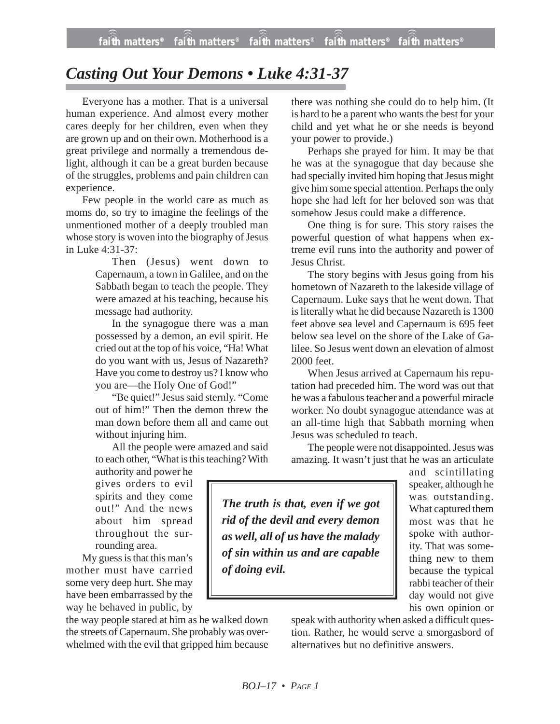## *Casting Out Your Demons • Luke 4:31-37*

Everyone has a mother. That is a universal human experience. And almost every mother cares deeply for her children, even when they are grown up and on their own. Motherhood is a great privilege and normally a tremendous delight, although it can be a great burden because of the struggles, problems and pain children can experience.

Few people in the world care as much as moms do, so try to imagine the feelings of the unmentioned mother of a deeply troubled man whose story is woven into the biography of Jesus in Luke 4:31-37:

> Then (Jesus) went down to Capernaum, a town in Galilee, and on the Sabbath began to teach the people. They were amazed at his teaching, because his message had authority.

> In the synagogue there was a man possessed by a demon, an evil spirit. He cried out at the top of his voice, "Ha! What do you want with us, Jesus of Nazareth? Have you come to destroy us? I know who you are—the Holy One of God!"

> "Be quiet!" Jesus said sternly. "Come out of him!" Then the demon threw the man down before them all and came out without injuring him.

> All the people were amazed and said to each other, "What is this teaching? With

authority and power he gives orders to evil spirits and they come out!" And the news about him spread throughout the surrounding area.

My guess is that this man's mother must have carried some very deep hurt. She may have been embarrassed by the way he behaved in public, by

the way people stared at him as he walked down the streets of Capernaum. She probably was overwhelmed with the evil that gripped him because there was nothing she could do to help him. (It is hard to be a parent who wants the best for your child and yet what he or she needs is beyond your power to provide.)

Perhaps she prayed for him. It may be that he was at the synagogue that day because she had specially invited him hoping that Jesus might give him some special attention. Perhaps the only hope she had left for her beloved son was that somehow Jesus could make a difference.

One thing is for sure. This story raises the powerful question of what happens when extreme evil runs into the authority and power of Jesus Christ.

The story begins with Jesus going from his hometown of Nazareth to the lakeside village of Capernaum. Luke says that he went down. That is literally what he did because Nazareth is 1300 feet above sea level and Capernaum is 695 feet below sea level on the shore of the Lake of Galilee. So Jesus went down an elevation of almost 2000 feet.

When Jesus arrived at Capernaum his reputation had preceded him. The word was out that he was a fabulous teacher and a powerful miracle worker. No doubt synagogue attendance was at an all-time high that Sabbath morning when Jesus was scheduled to teach.

The people were not disappointed. Jesus was amazing. It wasn't just that he was an articulate

*The truth is that, even if we got rid of the devil and every demon as well, all of us have the malady of sin within us and are capable of doing evil.*

and scintillating speaker, although he was outstanding. What captured them most was that he spoke with authority. That was something new to them because the typical rabbi teacher of their day would not give his own opinion or

speak with authority when asked a difficult question. Rather, he would serve a smorgasbord of alternatives but no definitive answers.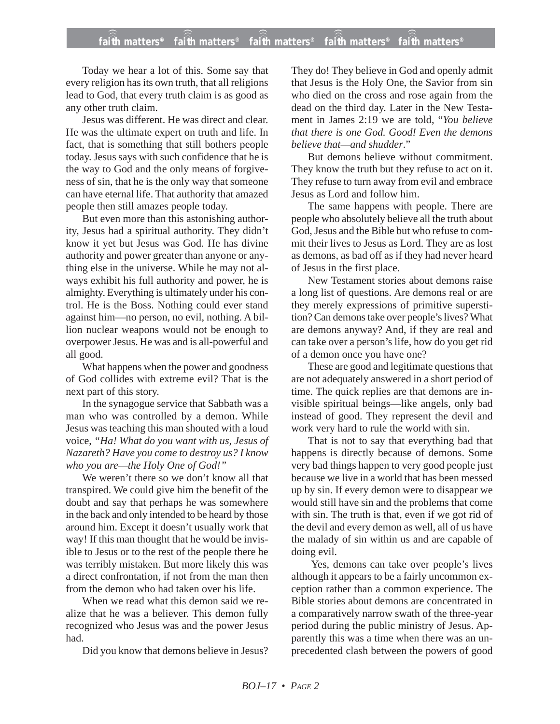## **faith matters® faith matters® faith matters® faith matters® faith matters®** ))) ))) faith matters<sup>®</sup> ))) )))

Today we hear a lot of this. Some say that every religion has its own truth, that all religions lead to God, that every truth claim is as good as any other truth claim.

Jesus was different. He was direct and clear. He was the ultimate expert on truth and life. In fact, that is something that still bothers people today. Jesus says with such confidence that he is the way to God and the only means of forgiveness of sin, that he is the only way that someone can have eternal life. That authority that amazed people then still amazes people today.

But even more than this astonishing authority, Jesus had a spiritual authority. They didn't know it yet but Jesus was God. He has divine authority and power greater than anyone or anything else in the universe. While he may not always exhibit his full authority and power, he is almighty. Everything is ultimately under his control. He is the Boss. Nothing could ever stand against him—no person, no evil, nothing. A billion nuclear weapons would not be enough to overpower Jesus. He was and is all-powerful and all good.

What happens when the power and goodness of God collides with extreme evil? That is the next part of this story.

In the synagogue service that Sabbath was a man who was controlled by a demon. While Jesus was teaching this man shouted with a loud voice, *"Ha! What do you want with us, Jesus of Nazareth? Have you come to destroy us? I know who you are—the Holy One of God!"*

We weren't there so we don't know all that transpired. We could give him the benefit of the doubt and say that perhaps he was somewhere in the back and only intended to be heard by those around him. Except it doesn't usually work that way! If this man thought that he would be invisible to Jesus or to the rest of the people there he was terribly mistaken. But more likely this was a direct confrontation, if not from the man then from the demon who had taken over his life.

When we read what this demon said we realize that he was a believer. This demon fully recognized who Jesus was and the power Jesus had.

Did you know that demons believe in Jesus?

They do! They believe in God and openly admit that Jesus is the Holy One, the Savior from sin who died on the cross and rose again from the dead on the third day. Later in the New Testament in James 2:19 we are told, "*You believe that there is one God. Good! Even the demons believe that—and shudder*."

But demons believe without commitment. They know the truth but they refuse to act on it. They refuse to turn away from evil and embrace Jesus as Lord and follow him.

The same happens with people. There are people who absolutely believe all the truth about God, Jesus and the Bible but who refuse to commit their lives to Jesus as Lord. They are as lost as demons, as bad off as if they had never heard of Jesus in the first place.

New Testament stories about demons raise a long list of questions. Are demons real or are they merely expressions of primitive superstition? Can demons take over people's lives? What are demons anyway? And, if they are real and can take over a person's life, how do you get rid of a demon once you have one?

These are good and legitimate questions that are not adequately answered in a short period of time. The quick replies are that demons are invisible spiritual beings—like angels, only bad instead of good. They represent the devil and work very hard to rule the world with sin.

That is not to say that everything bad that happens is directly because of demons. Some very bad things happen to very good people just because we live in a world that has been messed up by sin. If every demon were to disappear we would still have sin and the problems that come with sin. The truth is that, even if we got rid of the devil and every demon as well, all of us have the malady of sin within us and are capable of doing evil.

Yes, demons can take over people's lives although it appears to be a fairly uncommon exception rather than a common experience. The Bible stories about demons are concentrated in a comparatively narrow swath of the three-year period during the public ministry of Jesus. Apparently this was a time when there was an unprecedented clash between the powers of good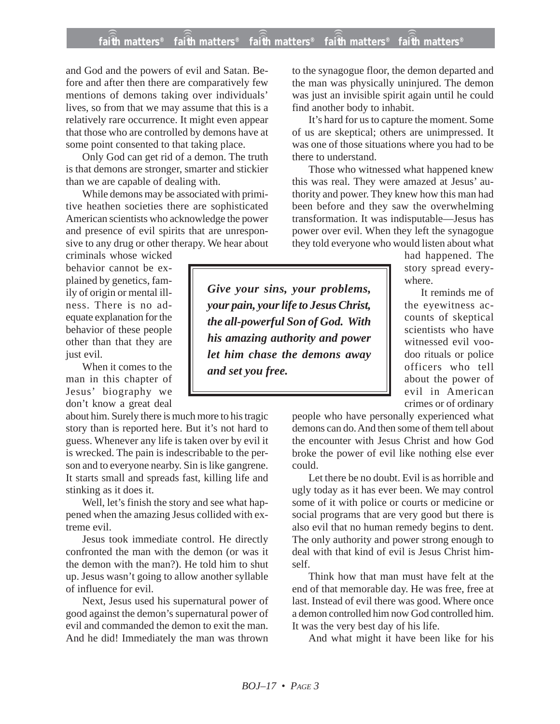## **faith matters® faith matters® faith matters® faith matters® faith matters®** ))) ))) ))) ))) )))

and God and the powers of evil and Satan. Before and after then there are comparatively few mentions of demons taking over individuals' lives, so from that we may assume that this is a relatively rare occurrence. It might even appear that those who are controlled by demons have at some point consented to that taking place.

Only God can get rid of a demon. The truth is that demons are stronger, smarter and stickier than we are capable of dealing with.

While demons may be associated with primitive heathen societies there are sophisticated American scientists who acknowledge the power and presence of evil spirits that are unresponsive to any drug or other therapy. We hear about

criminals whose wicked behavior cannot be explained by genetics, family of origin or mental illness. There is no adequate explanation for the behavior of these people other than that they are just evil.

When it comes to the man in this chapter of Jesus' biography we don't know a great deal

about him. Surely there is much more to his tragic story than is reported here. But it's not hard to guess. Whenever any life is taken over by evil it is wrecked. The pain is indescribable to the person and to everyone nearby. Sin is like gangrene. It starts small and spreads fast, killing life and stinking as it does it.

Well, let's finish the story and see what happened when the amazing Jesus collided with extreme evil.

Jesus took immediate control. He directly confronted the man with the demon (or was it the demon with the man?). He told him to shut up. Jesus wasn't going to allow another syllable of influence for evil.

Next, Jesus used his supernatural power of good against the demon's supernatural power of evil and commanded the demon to exit the man. And he did! Immediately the man was thrown

to the synagogue floor, the demon departed and the man was physically uninjured. The demon was just an invisible spirit again until he could find another body to inhabit.

It's hard for us to capture the moment. Some of us are skeptical; others are unimpressed. It was one of those situations where you had to be there to understand.

Those who witnessed what happened knew this was real. They were amazed at Jesus' authority and power. They knew how this man had been before and they saw the overwhelming transformation. It was indisputable—Jesus has power over evil. When they left the synagogue they told everyone who would listen about what

had happened. The story spread everywhere.

It reminds me of the eyewitness accounts of skeptical scientists who have witnessed evil voodoo rituals or police officers who tell about the power of evil in American crimes or of ordinary

people who have personally experienced what demons can do. And then some of them tell about the encounter with Jesus Christ and how God broke the power of evil like nothing else ever could.

Let there be no doubt. Evil is as horrible and ugly today as it has ever been. We may control some of it with police or courts or medicine or social programs that are very good but there is also evil that no human remedy begins to dent. The only authority and power strong enough to deal with that kind of evil is Jesus Christ himself.

Think how that man must have felt at the end of that memorable day. He was free, free at last. Instead of evil there was good. Where once a demon controlled him now God controlled him. It was the very best day of his life.

And what might it have been like for his

*Give your sins, your problems, your pain, your life to Jesus Christ, the all-powerful Son of God. With his amazing authority and power let him chase the demons away and set you free.*